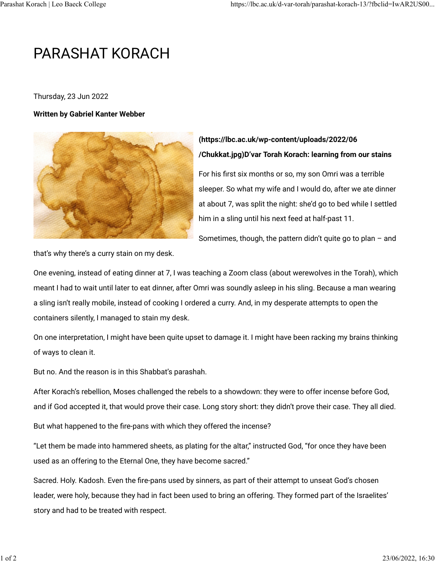## PARASHAT KORACH

Thursday, 23 Jun 2022

## **Written by Gabriel Kanter Webber**



## **[\(https://lbc.ac.uk/wp-content/uploads/2022/06](https://lbc.ac.uk/wp-content/uploads/2022/06/Chukkat.jpg) [/Chukkat.jpg\)D](https://lbc.ac.uk/wp-content/uploads/2022/06/Chukkat.jpg)'var Torah Korach: learning from our stains**

For his first six months or so, my son Omri was a terrible sleeper. So what my wife and I would do, after we ate dinner at about 7, was split the night: she'd go to bed while I settled him in a sling until his next feed at half-past 11.

Sometimes, though, the pattern didn't quite go to plan – and

that's why there's a curry stain on my desk.

One evening, instead of eating dinner at 7, I was teaching a Zoom class (about werewolves in the Torah), which meant I had to wait until later to eat dinner, after Omri was soundly asleep in his sling. Because a man wearing a sling isn't really mobile, instead of cooking I ordered a curry. And, in my desperate attempts to open the containers silently, I managed to stain my desk.

On one interpretation, I might have been quite upset to damage it. I might have been racking my brains thinking of ways to clean it.

But no. And the reason is in this Shabbat's parashah.

After Korach's rebellion, Moses challenged the rebels to a showdown: they were to offer incense before God, and if God accepted it, that would prove their case. Long story short: they didn't prove their case. They all died.

But what happened to the fire-pans with which they offered the incense?

"Let them be made into hammered sheets, as plating for the altar," instructed God, "for once they have been used as an offering to the Eternal One, they have become sacred."

Sacred. Holy. Kadosh. Even the fire-pans used by sinners, as part of their attempt to unseat God's chosen leader, were holy, because they had in fact been used to bring an offering. They formed part of the Israelites' story and had to be treated with respect.